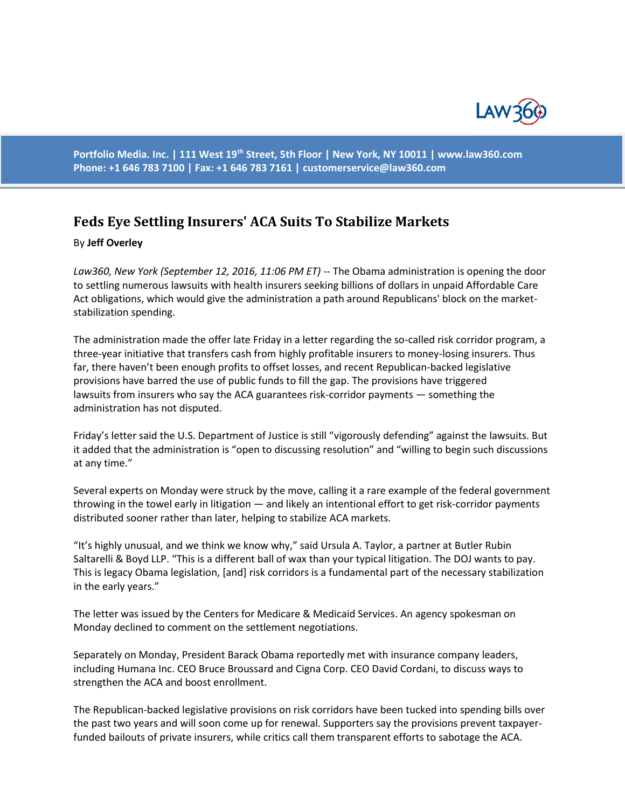

**Portfolio Media. Inc. | 111 West 19th Street, 5th Floor | New York, NY 10011 | www.law360.com Phone: +1 646 783 7100 | Fax: +1 646 783 7161 | [customerservice@law360.com](mailto:customerservice@law360.com)**

## **Feds Eye Settling Insurers' ACA Suits To Stabilize Markets**

## By **Jeff Overley**

*Law360, New York (September 12, 2016, 11:06 PM ET)* -- The Obama administration is opening the door to settling numerous lawsuits with health insurers seeking billions of dollars in unpaid Affordable Care Act obligations, which would give the administration a path around Republicans' block on the marketstabilization spending.

The administration made the offer late Friday in a letter regarding the so-called risk corridor program, a three-year initiative that transfers cash from highly profitable insurers to money-losing insurers. Thus far, there haven't been enough profits to offset losses, and recent Republican-backed legislative provisions have barred the use of public funds to fill the gap. The provisions have triggered lawsuits from insurers who say the ACA guarantees risk-corridor payments — something the administration has not disputed.

Friday's letter said the U.S. Department of Justice is still "vigorously defending" against the lawsuits. But it added that the administration is "open to discussing resolution" and "willing to begin such discussions at any time."

Several experts on Monday were struck by the move, calling it a rare example of the federal government throwing in the towel early in litigation — and likely an intentional effort to get risk-corridor payments distributed sooner rather than later, helping to stabilize ACA markets.

"It's highly unusual, and we think we know why," said Ursula A. Taylor, a partner at Butler Rubin Saltarelli & Boyd LLP. "This is a different ball of wax than your typical litigation. The DOJ wants to pay. This is legacy Obama legislation, [and] risk corridors is a fundamental part of the necessary stabilization in the early years."

The letter was issued by the Centers for Medicare & Medicaid Services. An agency spokesman on Monday declined to comment on the settlement negotiations.

Separately on Monday, President Barack Obama reportedly met with insurance company leaders, including Humana Inc. CEO Bruce Broussard and Cigna Corp. CEO David Cordani, to discuss ways to strengthen the ACA and boost enrollment.

The Republican-backed legislative provisions on risk corridors have been tucked into spending bills over the past two years and will soon come up for renewal. Supporters say the provisions prevent taxpayerfunded bailouts of private insurers, while critics call them transparent efforts to sabotage the ACA.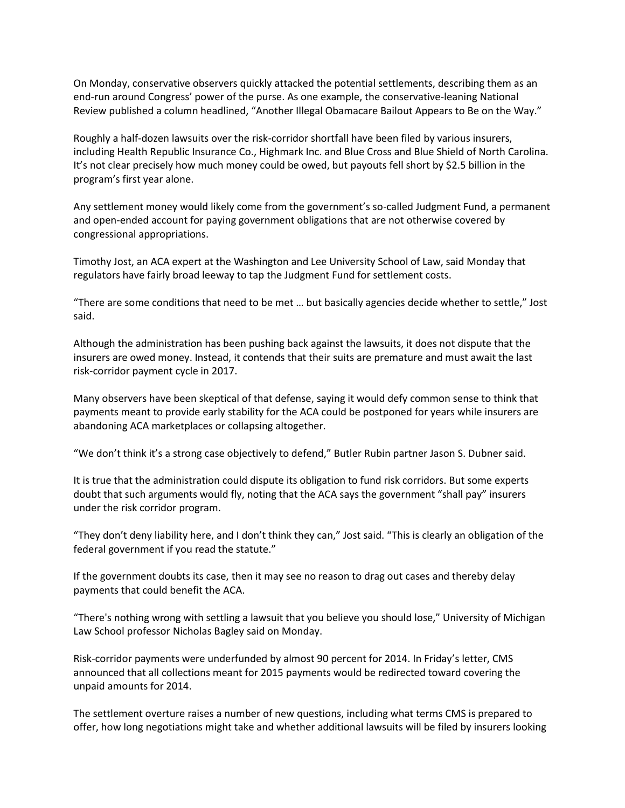On Monday, conservative observers quickly attacked the potential settlements, describing them as an end-run around Congress' power of the purse. As one example, the conservative-leaning National Review published a column headlined, "Another Illegal Obamacare Bailout Appears to Be on the Way."

Roughly a half-dozen lawsuits over the risk-corridor shortfall have been filed by various insurers, including Health Republic Insurance Co., Highmark Inc. and Blue Cross and Blue Shield of North Carolina. It's not clear precisely how much money could be owed, but payouts fell short by \$2.5 billion in the program's first year alone.

Any settlement money would likely come from the government's so-called Judgment Fund, a permanent and open-ended account for paying government obligations that are not otherwise covered by congressional appropriations.

Timothy Jost, an ACA expert at the Washington and Lee University School of Law, said Monday that regulators have fairly broad leeway to tap the Judgment Fund for settlement costs.

"There are some conditions that need to be met … but basically agencies decide whether to settle," Jost said.

Although the administration has been pushing back against the lawsuits, it does not dispute that the insurers are owed money. Instead, it contends that their suits are premature and must await the last risk-corridor payment cycle in 2017.

Many observers have been skeptical of that defense, saying it would defy common sense to think that payments meant to provide early stability for the ACA could be postponed for years while insurers are abandoning ACA marketplaces or collapsing altogether.

"We don't think it's a strong case objectively to defend," Butler Rubin partner Jason S. Dubner said.

It is true that the administration could dispute its obligation to fund risk corridors. But some experts doubt that such arguments would fly, noting that the ACA says the government "shall pay" insurers under the risk corridor program.

"They don't deny liability here, and I don't think they can," Jost said. "This is clearly an obligation of the federal government if you read the statute."

If the government doubts its case, then it may see no reason to drag out cases and thereby delay payments that could benefit the ACA.

"There's nothing wrong with settling a lawsuit that you believe you should lose," University of Michigan Law School professor Nicholas Bagley said on Monday.

Risk-corridor payments were underfunded by almost 90 percent for 2014. In Friday's letter, CMS announced that all collections meant for 2015 payments would be redirected toward covering the unpaid amounts for 2014.

The settlement overture raises a number of new questions, including what terms CMS is prepared to offer, how long negotiations might take and whether additional lawsuits will be filed by insurers looking